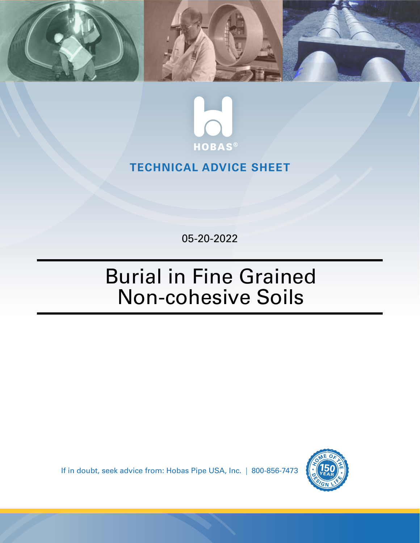



## **TECHNICAL ADVICE SHEET**

05-20-2022

## Burial in Fine Grained Non-cohesive Soils

If in doubt, seek advice from: Hobas Pipe USA, Inc. | 800-856-7473

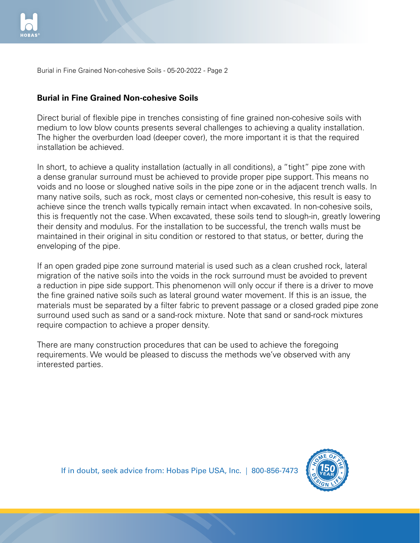

Burial in Fine Grained Non-cohesive Soils - 05-20-2022 - Page 2

## **Burial in Fine Grained Non-cohesive Soils**

Direct burial of flexible pipe in trenches consisting of fine grained non-cohesive soils with medium to low blow counts presents several challenges to achieving a quality installation. The higher the overburden load (deeper cover), the more important it is that the required installation be achieved.

In short, to achieve a quality installation (actually in all conditions), a "tight" pipe zone with a dense granular surround must be achieved to provide proper pipe support. This means no voids and no loose or sloughed native soils in the pipe zone or in the adjacent trench walls. In many native soils, such as rock, most clays or cemented non-cohesive, this result is easy to achieve since the trench walls typically remain intact when excavated. In non-cohesive soils, this is frequently not the case. When excavated, these soils tend to slough-in, greatly lowering their density and modulus. For the installation to be successful, the trench walls must be maintained in their original in situ condition or restored to that status, or better, during the enveloping of the pipe.

If an open graded pipe zone surround material is used such as a clean crushed rock, lateral migration of the native soils into the voids in the rock surround must be avoided to prevent a reduction in pipe side support. This phenomenon will only occur if there is a driver to move the fine grained native soils such as lateral ground water movement. If this is an issue, the materials must be separated by a filter fabric to prevent passage or a closed graded pipe zone surround used such as sand or a sand-rock mixture. Note that sand or sand-rock mixtures require compaction to achieve a proper density.

There are many construction procedures that can be used to achieve the foregoing requirements. We would be pleased to discuss the methods we've observed with any interested parties.